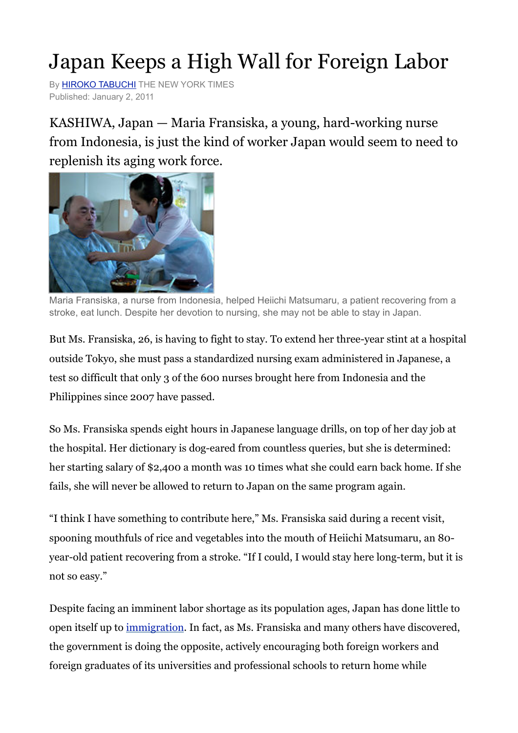## Japan Keeps a High Wall for Foreign Labor

By **HIROKO TABUCHI** THE NEW YORK TIMES Published: January 2, 2011

KASHIWA, Japan — Maria Fransiska, a young, hard-working nurse from Indonesia, is just the kind of worker Japan would seem to need to replenish its aging work force.



Maria Fransiska, a nurse from Indonesia, helped Heiichi Matsumaru, a patient recovering from a stroke, eat lunch. Despite her devotion to nursing, she may not be able to stay in Japan.

But Ms. Fransiska, 26, is having to fight to stay. To extend her three-year stint at a hospital outside Tokyo, she must pass a standardized nursing exam administered in Japanese, a test so difficult that only 3 of the 600 nurses brought here from Indonesia and the Philippines since 2007 have passed.

So Ms. Fransiska spends eight hours in Japanese language drills, on top of her day job at the hospital. Her dictionary is dog-eared from countless queries, but she is determined: her starting salary of \$2,400 a month was 10 times what she could earn back home. If she fails, she will never be allowed to return to Japan on the same program again.

"I think I have something to contribute here," Ms. Fransiska said during a recent visit, spooning mouthfuls of rice and vegetables into the mouth of Heiichi Matsumaru, an 80 year-old patient recovering from a stroke. "If I could, I would stay here long-term, but it is not so easy."

Despite facing an imminent labor shortage as its population ages, Japan has done little to open itself up to [immigration](http://topics.nytimes.com/top/reference/timestopics/subjects/i/immigration_and_refugees/index.html?inline=nyt-classifier). In fact, as Ms. Fransiska and many others have discovered, the government is doing the opposite, actively encouraging both foreign workers and foreign graduates of its universities and professional schools to return home while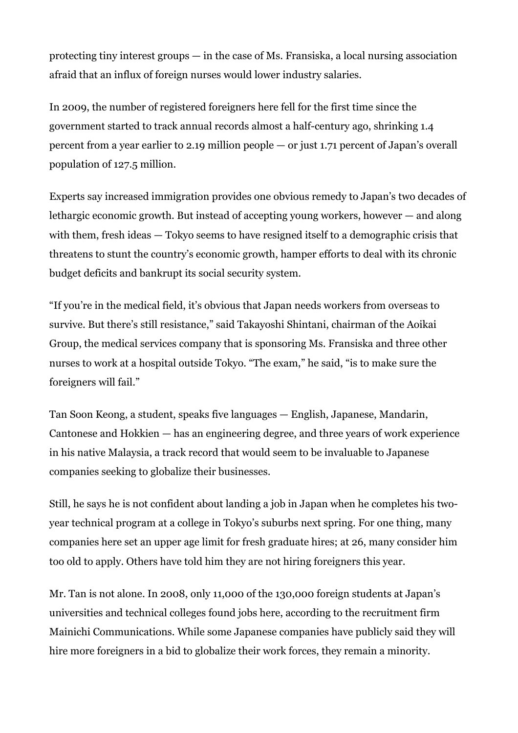protecting tiny interest groups — in the case of Ms. Fransiska, a local nursing association afraid that an influx of foreign nurses would lower industry salaries.

In 2009, the number of registered foreigners here fell for the first time since the government started to track annual records almost a half-century ago, shrinking 1.4 percent from a year earlier to 2.19 million people — or just 1.71 percent of Japan's overall population of 127.5 million.

Experts say increased immigration provides one obvious remedy to Japan's two decades of lethargic economic growth. But instead of accepting young workers, however — and along with them, fresh ideas — Tokyo seems to have resigned itself to a demographic crisis that threatens to stunt the country's economic growth, hamper efforts to deal with its chronic budget deficits and bankrupt its social security system.

"If you're in the medical field, it's obvious that Japan needs workers from overseas to survive. But there's still resistance," said Takayoshi Shintani, chairman of the Aoikai Group, the medical services company that is sponsoring Ms. Fransiska and three other nurses to work at a hospital outside Tokyo. "The exam," he said, "is to make sure the foreigners will fail."

Tan Soon Keong, a student, speaks five languages — English, Japanese, Mandarin, Cantonese and Hokkien — has an engineering degree, and three years of work experience in his native Malaysia, a track record that would seem to be invaluable to Japanese companies seeking to globalize their businesses.

Still, he says he is not confident about landing a job in Japan when he completes his twoyear technical program at a college in Tokyo's suburbs next spring. For one thing, many companies here set an upper age limit for fresh graduate hires; at 26, many consider him too old to apply. Others have told him they are not hiring foreigners this year.

Mr. Tan is not alone. In 2008, only 11,000 of the 130,000 foreign students at Japan's universities and technical colleges found jobs here, according to the recruitment firm Mainichi Communications. While some Japanese companies have publicly said they will hire more foreigners in a bid to globalize their work forces, they remain a minority.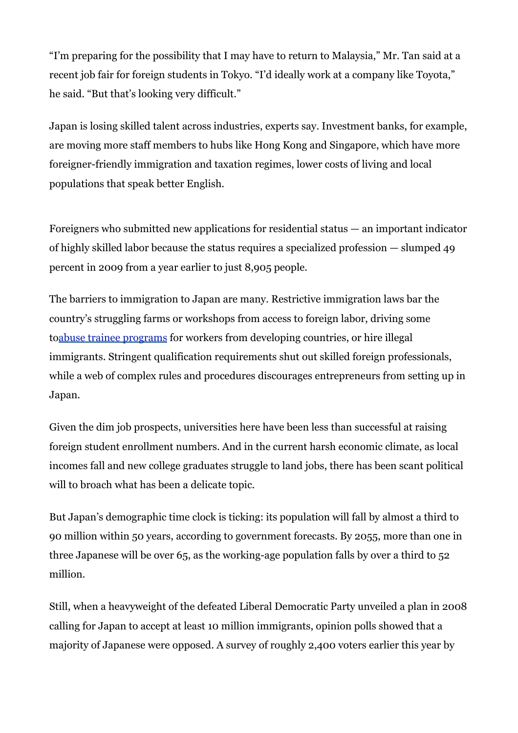"I'm preparing for the possibility that I may have to return to Malaysia," Mr. Tan said at a recent job fair for foreign students in Tokyo. "I'd ideally work at a company like Toyota," he said. "But that's looking very difficult."

Japan is losing skilled talent across industries, experts say. Investment banks, for example, are moving more staff members to hubs like Hong Kong and Singapore, which have more foreigner-friendly immigration and taxation regimes, lower costs of living and local populations that speak better English.

Foreigners who submitted new applications for residential status — an important indicator of highly skilled labor because the status requires a specialized profession — slumped 49 percent in 2009 from a year earlier to just 8,905 people.

The barriers to immigration to Japan are many. Restrictive immigration laws bar the country's struggling farms or workshops from access to foreign labor, driving some t[oabuse trainee programs](http://www.nytimes.com/2010/07/21/business/global/21apprentice.html) for workers from developing countries, or hire illegal immigrants. Stringent qualification requirements shut out skilled foreign professionals, while a web of complex rules and procedures discourages entrepreneurs from setting up in Japan.

Given the dim job prospects, universities here have been less than successful at raising foreign student enrollment numbers. And in the current harsh economic climate, as local incomes fall and new college graduates struggle to land jobs, there has been scant political will to broach what has been a delicate topic.

But Japan's demographic time clock is ticking: its population will fall by almost a third to 90 million within 50 years, according to government forecasts. By 2055, more than one in three Japanese will be over 65, as the working-age population falls by over a third to 52 million.

Still, when a heavyweight of the defeated Liberal Democratic Party unveiled a plan in 2008 calling for Japan to accept at least 10 million immigrants, opinion polls showed that a majority of Japanese were opposed. A survey of roughly 2,400 voters earlier this year by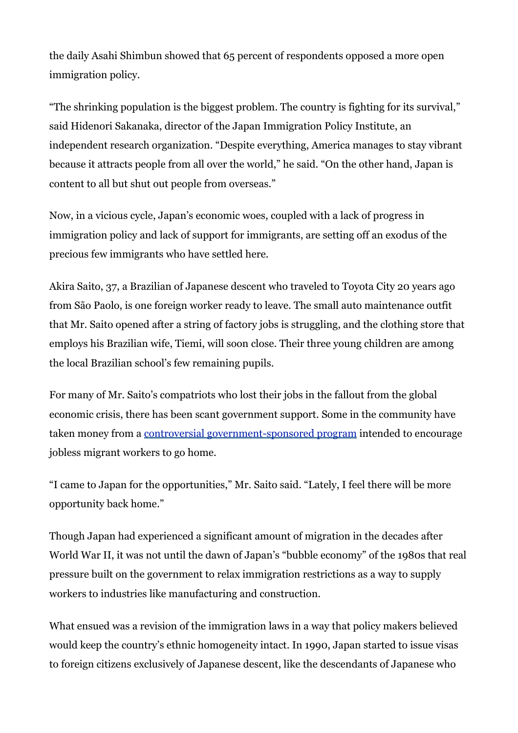the daily Asahi Shimbun showed that 65 percent of respondents opposed a more open immigration policy.

"The shrinking population is the biggest problem. The country is fighting for its survival," said Hidenori Sakanaka, director of the Japan Immigration Policy Institute, an independent research organization. "Despite everything, America manages to stay vibrant because it attracts people from all over the world," he said. "On the other hand, Japan is content to all but shut out people from overseas."

Now, in a vicious cycle, Japan's economic woes, coupled with a lack of progress in immigration policy and lack of support for immigrants, are setting off an exodus of the precious few immigrants who have settled here.

Akira Saito, 37, a Brazilian of Japanese descent who traveled to Toyota City 20 years ago from São Paolo, is one foreign worker ready to leave. The small auto maintenance outfit that Mr. Saito opened after a string of factory jobs is struggling, and the clothing store that employs his Brazilian wife, Tiemi, will soon close. Their three young children are among the local Brazilian school's few remaining pupils.

For many of Mr. Saito's compatriots who lost their jobs in the fallout from the global economic crisis, there has been scant government support. Some in the community have taken money from a [controversial government-sponsored program](http://www.nytimes.com/2009/04/23/business/global/23immigrant.html) intended to encourage jobless migrant workers to go home.

"I came to Japan for the opportunities," Mr. Saito said. "Lately, I feel there will be more opportunity back home."

Though Japan had experienced a significant amount of migration in the decades after World War II, it was not until the dawn of Japan's "bubble economy" of the 1980s that real pressure built on the government to relax immigration restrictions as a way to supply workers to industries like manufacturing and construction.

What ensued was a revision of the immigration laws in a way that policy makers believed would keep the country's ethnic homogeneity intact. In 1990, Japan started to issue visas to foreign citizens exclusively of Japanese descent, like the descendants of Japanese who